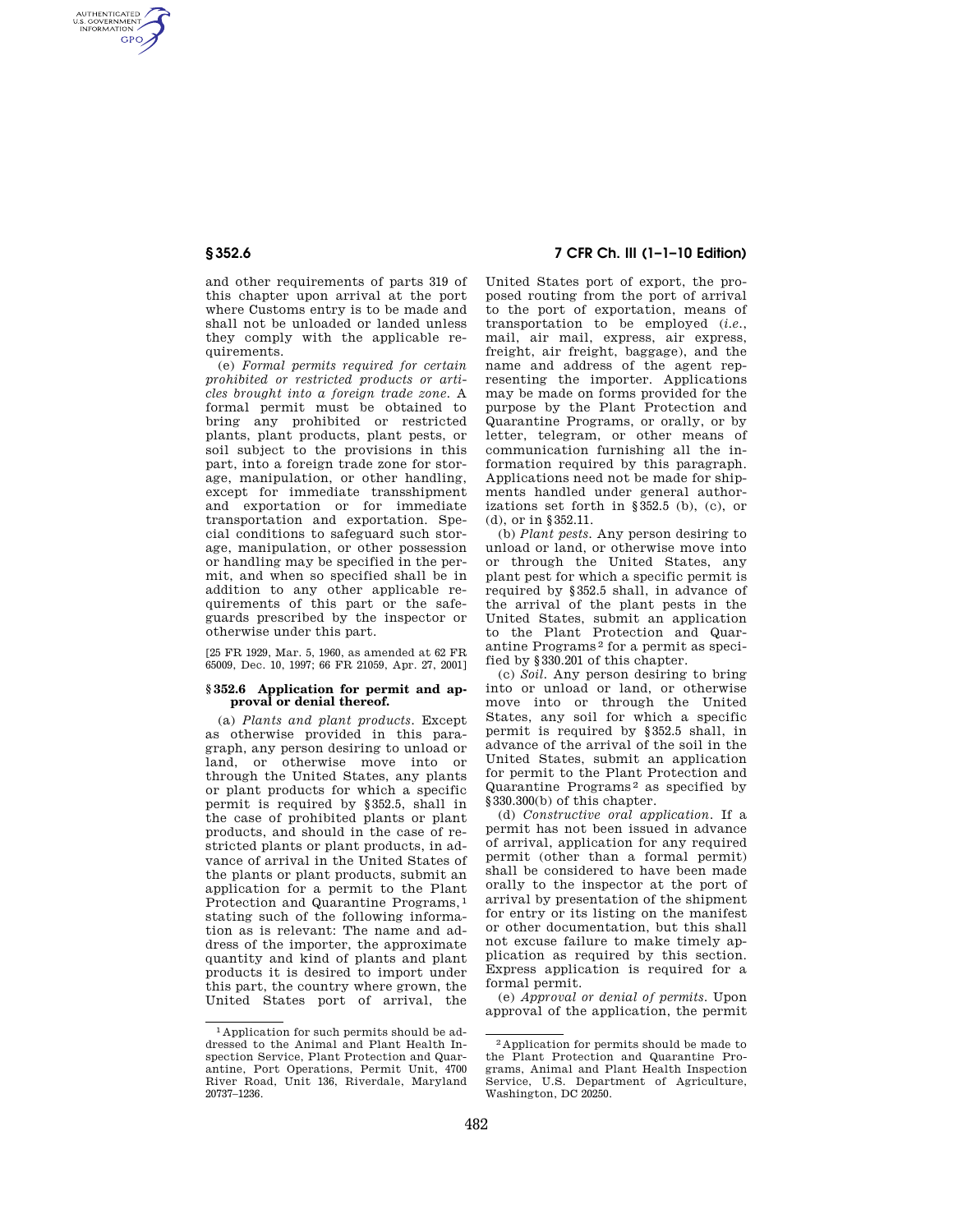AUTHENTICATED<br>U.S. GOVERNMENT<br>INFORMATION **GPO** 

> and other requirements of parts 319 of this chapter upon arrival at the port where Customs entry is to be made and shall not be unloaded or landed unless they comply with the applicable requirements.

> (e) *Formal permits required for certain prohibited or restricted products or articles brought into a foreign trade zone.* A formal permit must be obtained to bring any prohibited or restricted plants, plant products, plant pests, or soil subject to the provisions in this part, into a foreign trade zone for storage, manipulation, or other handling, except for immediate transshipment and exportation or for immediate transportation and exportation. Special conditions to safeguard such storage, manipulation, or other possession or handling may be specified in the permit, and when so specified shall be in addition to any other applicable requirements of this part or the safeguards prescribed by the inspector or otherwise under this part.

[25 FR 1929, Mar. 5, 1960, as amended at 62 FR 65009, Dec. 10, 1997; 66 FR 21059, Apr. 27, 2001]

#### **§ 352.6 Application for permit and approval or denial thereof.**

(a) *Plants and plant products.* Except as otherwise provided in this paragraph, any person desiring to unload or land, or otherwise move into or through the United States, any plants or plant products for which a specific permit is required by §352.5, shall in the case of prohibited plants or plant products, and should in the case of restricted plants or plant products, in advance of arrival in the United States of the plants or plant products, submit an application for a permit to the Plant Protection and Quarantine Programs, 1 stating such of the following information as is relevant: The name and address of the importer, the approximate quantity and kind of plants and plant products it is desired to import under this part, the country where grown, the United States port of arrival, the

# **§ 352.6 7 CFR Ch. III (1–1–10 Edition)**

United States port of export, the proposed routing from the port of arrival to the port of exportation, means of transportation to be employed (*i.e.*, mail, air mail, express, air express, freight, air freight, baggage), and the name and address of the agent representing the importer. Applications may be made on forms provided for the purpose by the Plant Protection and Quarantine Programs, or orally, or by letter, telegram, or other means of communication furnishing all the information required by this paragraph. Applications need not be made for shipments handled under general authorizations set forth in  $\S 352.5$  (b), (c), or (d), or in §352.11.

(b) *Plant pests.* Any person desiring to unload or land, or otherwise move into or through the United States, any plant pest for which a specific permit is required by §352.5 shall, in advance of the arrival of the plant pests in the United States, submit an application to the Plant Protection and Quarantine Programs 2 for a permit as specified by §330.201 of this chapter.

(c) *Soil.* Any person desiring to bring into or unload or land, or otherwise move into or through the United States, any soil for which a specific permit is required by §352.5 shall, in advance of the arrival of the soil in the United States, submit an application for permit to the Plant Protection and Quarantine Programs 2 as specified by §330.300(b) of this chapter.

(d) *Constructive oral application.* If a permit has not been issued in advance of arrival, application for any required permit (other than a formal permit) shall be considered to have been made orally to the inspector at the port of arrival by presentation of the shipment for entry or its listing on the manifest or other documentation, but this shall not excuse failure to make timely application as required by this section. Express application is required for a formal permit.

(e) *Approval or denial of permits.* Upon approval of the application, the permit

<sup>1</sup> Application for such permits should be addressed to the Animal and Plant Health Inspection Service, Plant Protection and Quarantine, Port Operations, Permit Unit, 4700 River Road, Unit 136, Riverdale, Maryland 20737–1236.

<sup>2</sup> Application for permits should be made to the Plant Protection and Quarantine Programs, Animal and Plant Health Inspection Service, U.S. Department of Agriculture, Washington, DC 20250.